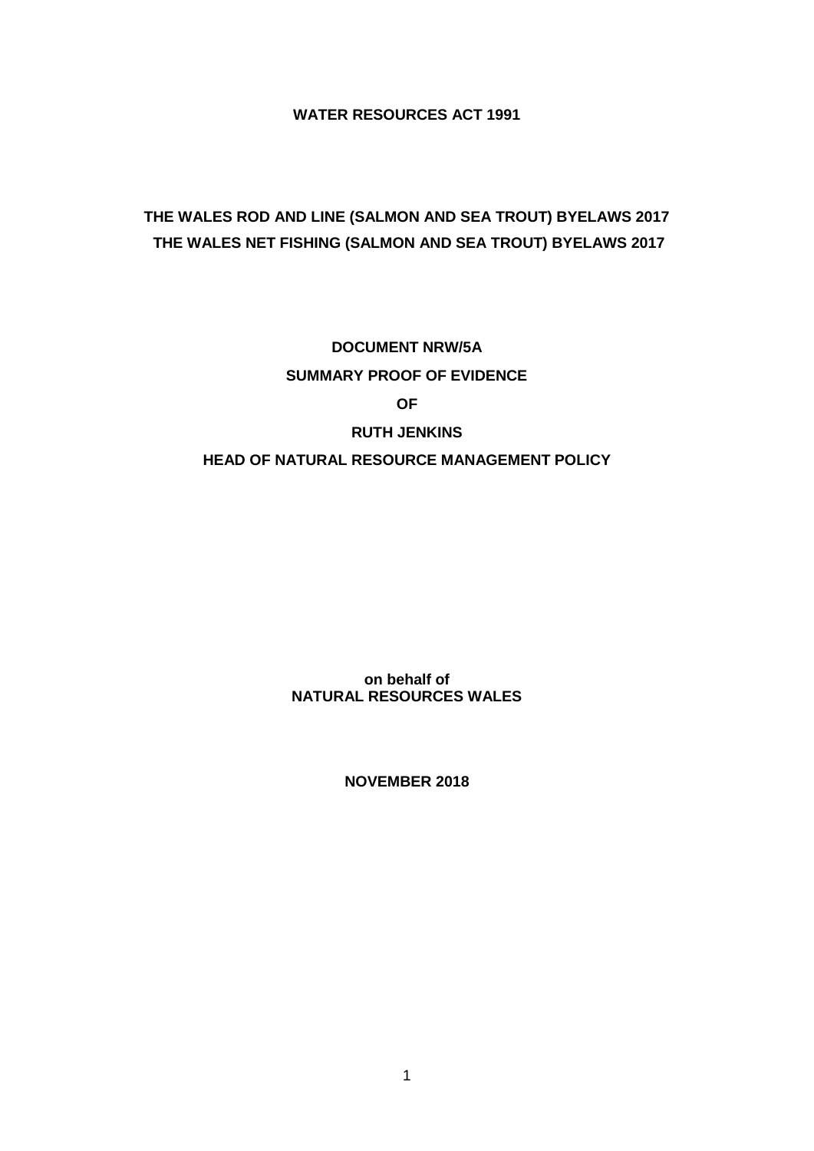**WATER RESOURCES ACT 1991**

# **THE WALES ROD AND LINE (SALMON AND SEA TROUT) BYELAWS 2017 THE WALES NET FISHING (SALMON AND SEA TROUT) BYELAWS 2017**

**DOCUMENT NRW/5A SUMMARY PROOF OF EVIDENCE OF RUTH JENKINS**

## **HEAD OF NATURAL RESOURCE MANAGEMENT POLICY**

**on behalf of NATURAL RESOURCES WALES**

**NOVEMBER 2018**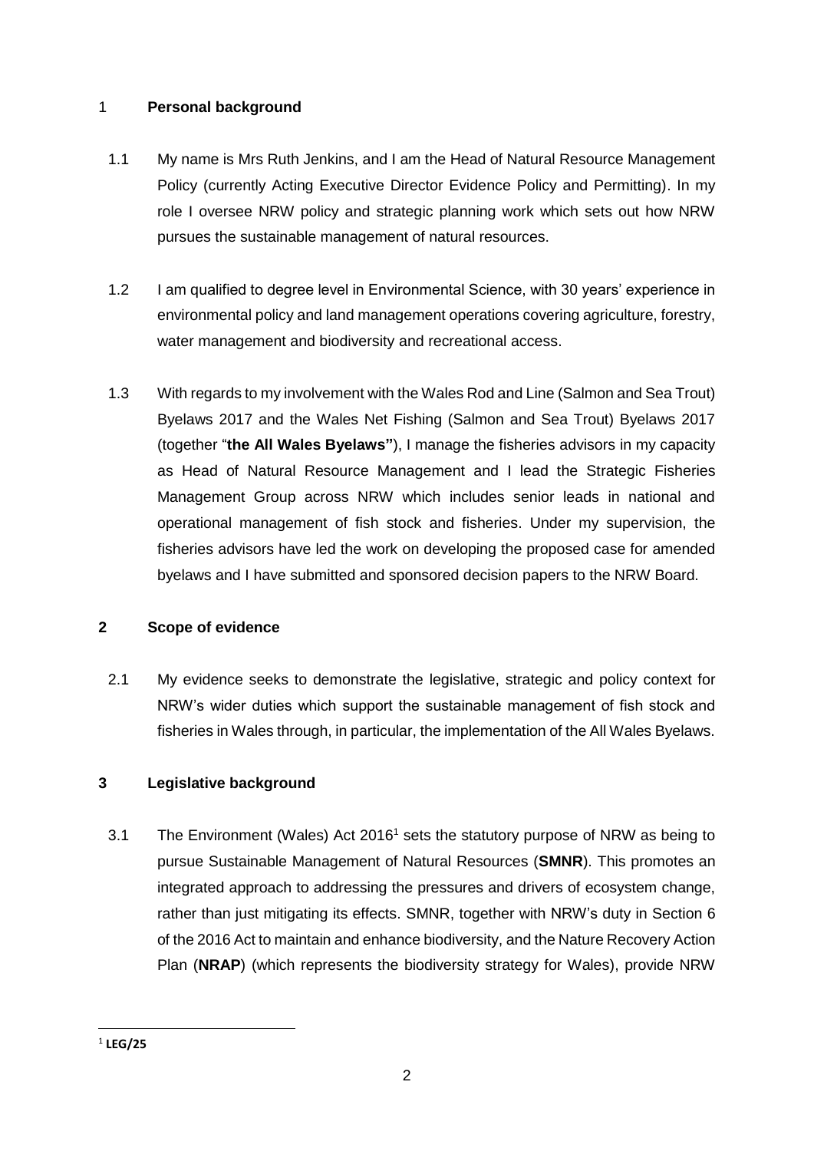## 1 **Personal background**

- 1.1 My name is Mrs Ruth Jenkins, and I am the Head of Natural Resource Management Policy (currently Acting Executive Director Evidence Policy and Permitting). In my role I oversee NRW policy and strategic planning work which sets out how NRW pursues the sustainable management of natural resources.
- 1.2 I am qualified to degree level in Environmental Science, with 30 years' experience in environmental policy and land management operations covering agriculture, forestry, water management and biodiversity and recreational access.
- 1.3 With regards to my involvement with the Wales Rod and Line (Salmon and Sea Trout) Byelaws 2017 and the Wales Net Fishing (Salmon and Sea Trout) Byelaws 2017 (together "**the All Wales Byelaws"**), I manage the fisheries advisors in my capacity as Head of Natural Resource Management and I lead the Strategic Fisheries Management Group across NRW which includes senior leads in national and operational management of fish stock and fisheries. Under my supervision, the fisheries advisors have led the work on developing the proposed case for amended byelaws and I have submitted and sponsored decision papers to the NRW Board.

## **2 Scope of evidence**

2.1 My evidence seeks to demonstrate the legislative, strategic and policy context for NRW's wider duties which support the sustainable management of fish stock and fisheries in Wales through, in particular, the implementation of the All Wales Byelaws.

## **3 Legislative background**

3.1 The Environment (Wales) Act 2016<sup>1</sup> sets the statutory purpose of NRW as being to pursue Sustainable Management of Natural Resources (**SMNR**). This promotes an integrated approach to addressing the pressures and drivers of ecosystem change, rather than just mitigating its effects. SMNR, together with NRW's duty in Section 6 of the 2016 Act to maintain and enhance biodiversity, and the Nature Recovery Action Plan (**NRAP**) (which represents the biodiversity strategy for Wales), provide NRW

**<sup>.</sup>** 1 **LEG/25**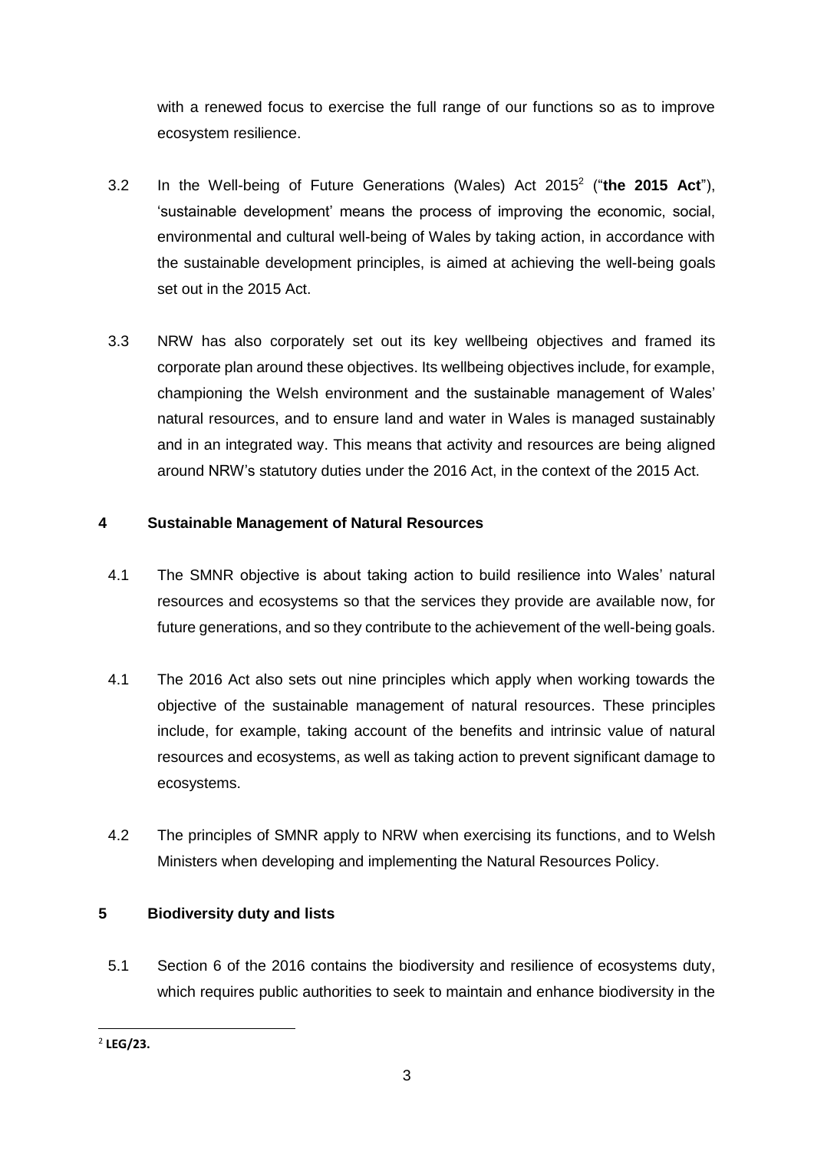with a renewed focus to exercise the full range of our functions so as to improve ecosystem resilience.

- 3.2 In the Well-being of Future Generations (Wales) Act 2015<sup>2</sup> ("**the 2015 Act**"), 'sustainable development' means the process of improving the economic, social, environmental and cultural well-being of Wales by taking action, in accordance with the sustainable development principles, is aimed at achieving the well-being goals set out in the 2015 Act.
- 3.3 NRW has also corporately set out its key wellbeing objectives and framed its corporate plan around these objectives. Its wellbeing objectives include, for example, championing the Welsh environment and the sustainable management of Wales' natural resources, and to ensure land and water in Wales is managed sustainably and in an integrated way. This means that activity and resources are being aligned around NRW's statutory duties under the 2016 Act, in the context of the 2015 Act.

## **4 Sustainable Management of Natural Resources**

- 4.1 The SMNR objective is about taking action to build resilience into Wales' natural resources and ecosystems so that the services they provide are available now, for future generations, and so they contribute to the achievement of the well-being goals.
- 4.1 The 2016 Act also sets out nine principles which apply when working towards the objective of the sustainable management of natural resources. These principles include, for example, taking account of the benefits and intrinsic value of natural resources and ecosystems, as well as taking action to prevent significant damage to ecosystems.
- 4.2 The principles of SMNR apply to NRW when exercising its functions, and to Welsh Ministers when developing and implementing the Natural Resources Policy.

## **5 Biodiversity duty and lists**

5.1 Section 6 of the 2016 contains the biodiversity and resilience of ecosystems duty, which requires public authorities to seek to maintain and enhance biodiversity in the

**<sup>.</sup>** 2 **LEG/23.**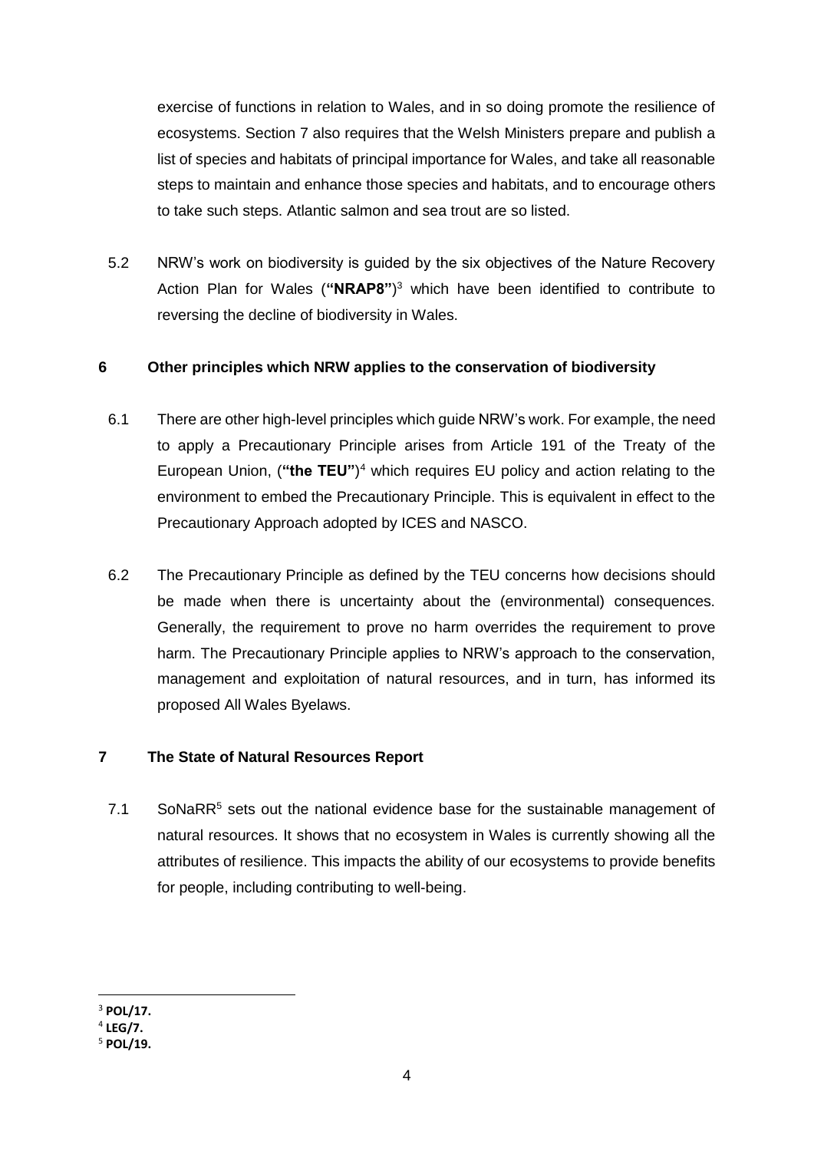exercise of functions in relation to Wales, and in so doing promote the resilience of ecosystems. Section 7 also requires that the Welsh Ministers prepare and publish a list of species and habitats of principal importance for Wales, and take all reasonable steps to maintain and enhance those species and habitats, and to encourage others to take such steps. Atlantic salmon and sea trout are so listed.

5.2 NRW's work on biodiversity is guided by the six objectives of the Nature Recovery Action Plan for Wales (**"NRAP8"**) <sup>3</sup> which have been identified to contribute to reversing the decline of biodiversity in Wales.

#### **6 Other principles which NRW applies to the conservation of biodiversity**

- 6.1 There are other high-level principles which guide NRW's work. For example, the need to apply a Precautionary Principle arises from Article 191 of the Treaty of the European Union, (**"the TEU"**) <sup>4</sup> which requires EU policy and action relating to the environment to embed the Precautionary Principle. This is equivalent in effect to the Precautionary Approach adopted by ICES and NASCO.
- 6.2 The Precautionary Principle as defined by the TEU concerns how decisions should be made when there is uncertainty about the (environmental) consequences. Generally, the requirement to prove no harm overrides the requirement to prove harm. The Precautionary Principle applies to NRW's approach to the conservation, management and exploitation of natural resources, and in turn, has informed its proposed All Wales Byelaws.

#### **7 The State of Natural Resources Report**

7.1 SoNaR $R^5$  sets out the national evidence base for the sustainable management of natural resources. It shows that no ecosystem in Wales is currently showing all the attributes of resilience. This impacts the ability of our ecosystems to provide benefits for people, including contributing to well-being.

**<sup>.</sup>** <sup>3</sup> **POL/17.**

<sup>4</sup> **LEG/7.**

<sup>5</sup> **POL/19.**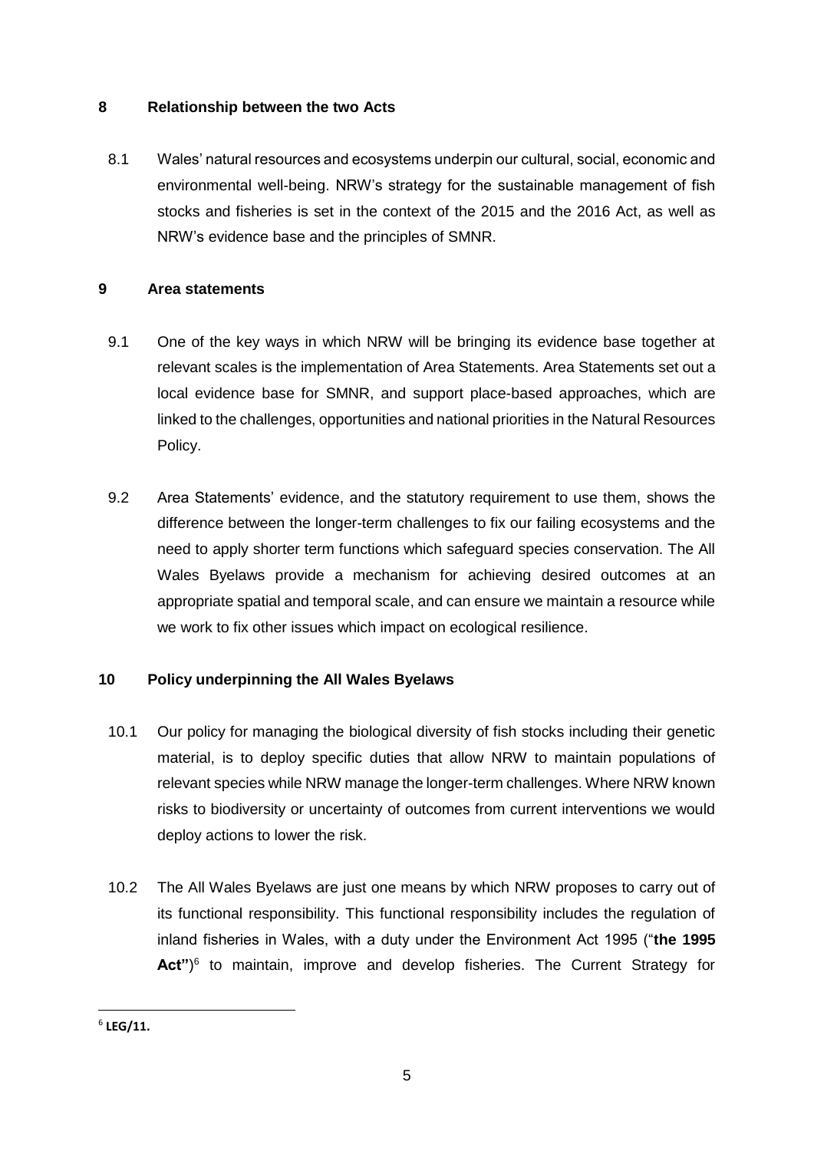#### **8 Relationship between the two Acts**

8.1 Wales' natural resources and ecosystems underpin our cultural, social, economic and environmental well-being. NRW's strategy for the sustainable management of fish stocks and fisheries is set in the context of the 2015 and the 2016 Act, as well as NRW's evidence base and the principles of SMNR.

#### **9 Area statements**

- 9.1 One of the key ways in which NRW will be bringing its evidence base together at relevant scales is the implementation of Area Statements. Area Statements set out a local evidence base for SMNR, and support place-based approaches, which are linked to the challenges, opportunities and national priorities in the Natural Resources Policy.
- 9.2 Area Statements' evidence, and the statutory requirement to use them, shows the difference between the longer-term challenges to fix our failing ecosystems and the need to apply shorter term functions which safeguard species conservation. The All Wales Byelaws provide a mechanism for achieving desired outcomes at an appropriate spatial and temporal scale, and can ensure we maintain a resource while we work to fix other issues which impact on ecological resilience.

## **10 Policy underpinning the All Wales Byelaws**

- 10.1 Our policy for managing the biological diversity of fish stocks including their genetic material, is to deploy specific duties that allow NRW to maintain populations of relevant species while NRW manage the longer-term challenges. Where NRW known risks to biodiversity or uncertainty of outcomes from current interventions we would deploy actions to lower the risk.
- 10.2 The All Wales Byelaws are just one means by which NRW proposes to carry out of its functional responsibility. This functional responsibility includes the regulation of inland fisheries in Wales, with a duty under the Environment Act 1995 ("**the 1995**  Act")<sup>6</sup> to maintain, improve and develop fisheries. The Current Strategy for

**<sup>.</sup>** 6 **LEG/11.**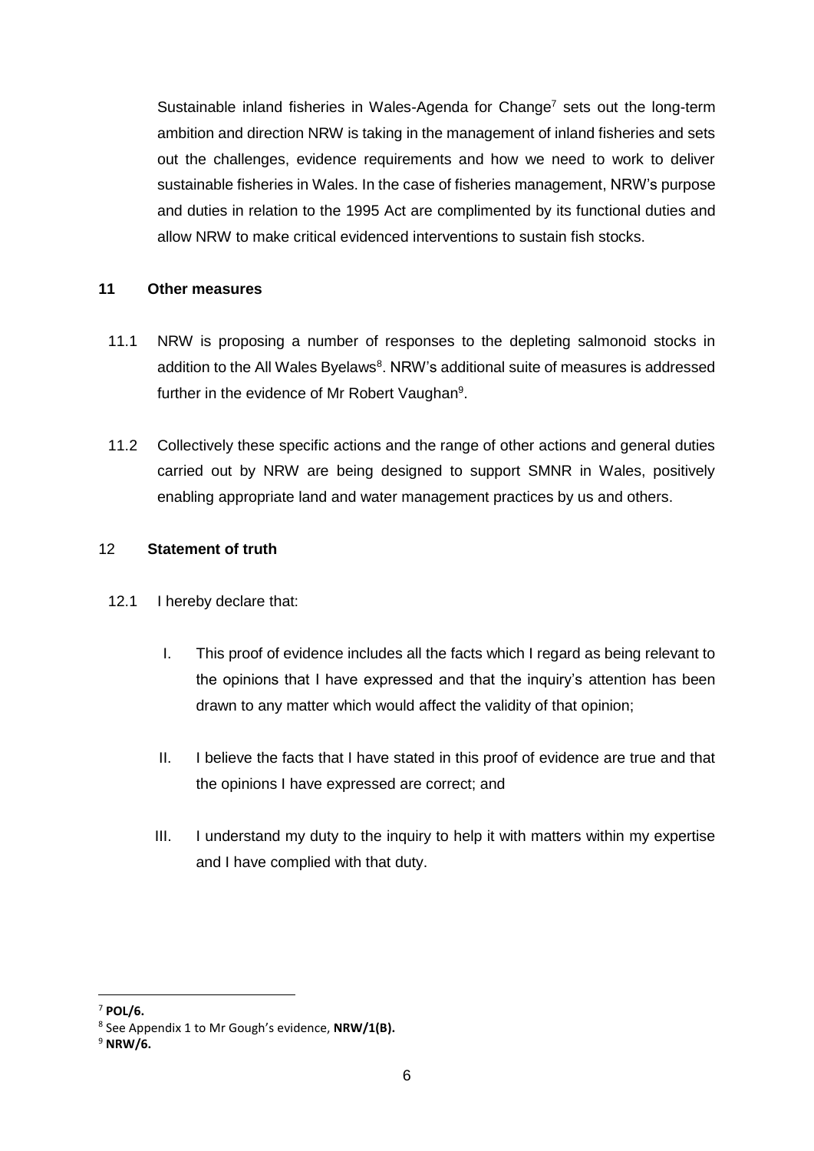Sustainable inland fisheries in Wales-Agenda for Change<sup>7</sup> sets out the long-term ambition and direction NRW is taking in the management of inland fisheries and sets out the challenges, evidence requirements and how we need to work to deliver sustainable fisheries in Wales. In the case of fisheries management, NRW's purpose and duties in relation to the 1995 Act are complimented by its functional duties and allow NRW to make critical evidenced interventions to sustain fish stocks.

#### **11 Other measures**

- 11.1 NRW is proposing a number of responses to the depleting salmonoid stocks in addition to the All Wales Byelaws<sup>8</sup>. NRW's additional suite of measures is addressed further in the evidence of Mr Robert Vaughan<sup>9</sup>.
- 11.2 Collectively these specific actions and the range of other actions and general duties carried out by NRW are being designed to support SMNR in Wales, positively enabling appropriate land and water management practices by us and others.

#### 12 **Statement of truth**

- 12.1 I hereby declare that:
	- I. This proof of evidence includes all the facts which I regard as being relevant to the opinions that I have expressed and that the inquiry's attention has been drawn to any matter which would affect the validity of that opinion;
	- II. I believe the facts that I have stated in this proof of evidence are true and that the opinions I have expressed are correct; and
	- III. I understand my duty to the inquiry to help it with matters within my expertise and I have complied with that duty.

**<sup>.</sup>** <sup>7</sup> **POL/6.**

<sup>8</sup> See Appendix 1 to Mr Gough's evidence, **NRW/1(B).**

<sup>9</sup> **NRW/6.**